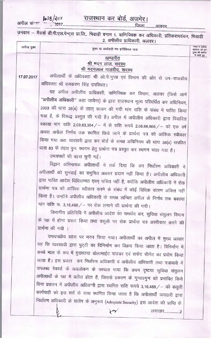अपील संज्ञा 1038/2017

राजस्थान कर बोर्ड, अजमेर।

-<br>उनवान – मैसर्स डी.पी.एल.पेन्ट्स प्रा.लि., भिवाडी बनाम 1. वाणिज्यिक कर अधिकारी, प्रतिकरापवंचन, भिवाडी<br>2. अपीलीय प्राधिकारी, अलवर।

| तारीख हुक्म | हुक्म या कार्यवाही मय इनीशियल जज                                                | नम्बर व तारीख<br>अहकाम जो इस<br>हुक्म की तामील<br>में जारी हुए |
|-------------|---------------------------------------------------------------------------------|----------------------------------------------------------------|
|             | खण्डपीठ                                                                         |                                                                |
|             | श्री मदन लाल, सदस्य<br>श्री मदनलाल मालवीय, सदस्य                                |                                                                |
| 17.07.2017  | अपीलार्थी के अधिवक्ता श्री ओ.पी.गुप्ता एवं विभाग की ओर से उप-राजकीय             |                                                                |
|             | अधिवक्ता श्री रामकरण सिंह उपस्थित।                                              |                                                                |
|             | यह अपील अपीलीय प्राधिकारी, वाणिज्यिक कर विभाग, अलवर (जिसे आगे                   |                                                                |
|             | "अपीलीय अधिकारी" कहा जायेगा) के द्वारा राजस्थान मूल्य परिवर्धित कर अधिनियम,     |                                                                |
|             | 2003 की धारा 38(4) के तहत् कायम की गयी मांग राशि के संबंध में पारित किया        |                                                                |
|             | गया है, के विरूद्ध प्रस्तुत की गयी है। अपील में अपीलीय अधिकारी द्वारा विवादित   |                                                                |
|             | बकाया मांग राशि 2,09,83,354 / - में से राशि रूपये 2,06,66,866 / - को एक वर्ष    |                                                                |
|             | अथवा अपील निर्णय तक स्थगित किये जाने के प्रार्थना पत्र को आंशिक स्वीकार         |                                                                |
|             | किया गया अतः व्यवहारी द्वारा कर बोर्ड के समक्ष अधिनियम की धारा 38(4) सपठित      |                                                                |
|             | धारा 83 के तहत पुनः स्थगन हेतु प्रार्थना पत्र प्रस्तुत कर स्थगन चाहा गया है।    |                                                                |
|             | उभयपक्षों की बहस सुनी गई।                                                       |                                                                |
|             | विद्वान अभिभाषक अपीलार्थी ने तर्क दिया कि कर निर्धारण अधिकारी ने                |                                                                |
|             | अपीलार्थी को सुनवाई का समुचित अवसर प्रदान नहीं किया है। अपीलीय अधिकारी          |                                                                |
|             | द्वारा पारित आदेश विधिसम्मत एवम् उचित नहीं है, क्योंकि अपीलीय अधिकारी ने रोक    |                                                                |
|             | प्रार्थना पत्र को आंशिक स्वीकार करने के संबंध में कोई विधिक कारण अंकित नहीं     |                                                                |
|             | किया है। उन्होंने अपीलीय अधिकारी के समक्ष लम्बित अपील के निर्णय तक बकाया        |                                                                |
|             | मांग राशि रू. 3,16,488 / - पर रोक लगाने की प्रार्थना की गयी।                    |                                                                |
|             | विभागीय प्रतिनिधि ने अपीलीय आदेश का समर्थन कर, सुविधा संतुलन विभाग              |                                                                |
|             | के पक्ष में होना प्रकट किया तथा वसूली पर रोक प्रार्थना पत्र अस्वीकार करने की,   |                                                                |
|             | प्रार्थना की गयी ।                                                              |                                                                |
|             | उभयपक्षीय बहस पर मनन किया गया। अपीलार्थी का अपील में मुख्य आधार                 |                                                                |
|             | यह कि व्यवसायी द्वारा पुट्टी का विनिर्माण कर विक्रय किया जाता है। विनिर्माण में |                                                                |
|             | कच्चे माल के रूप में मुख्यतया डोलामाईट पाउडर एवं सफेद सीमेंट का प्रयोग किया     |                                                                |
|             | जाता है। इस प्रकार कर निर्धारण अधिकारी व अपीलीय अधिकारी तथा पत्रावली में        |                                                                |
|             | उपलब्ध रेकार्ड के अवलोकन के पश्चात पाया कि प्रथम दृष्टया सुविधा संतुलन          |                                                                |
|             | अपीलार्थी के पक्ष में प्रतीत होता है, जिससे प्रकरण के गुणावगुण को प्रभावित किये |                                                                |
|             | बिना प्रकरण में अपीलीय अधिकारी द्वारा स्थगित राशि रूपये 3,16,488 / - की वसूली   |                                                                |
|             | कार्यवाही को इस शर्त के साथ स्थगित किया जाता है कि अपीलार्थी व्यवहारी द्वारा    |                                                                |
|             | निर्धारण अधिकारी के संतोष के अनुरूप (Adequate Security) इस आदेश की प्राप्ति के  |                                                                |
|             | लगातार2                                                                         |                                                                |